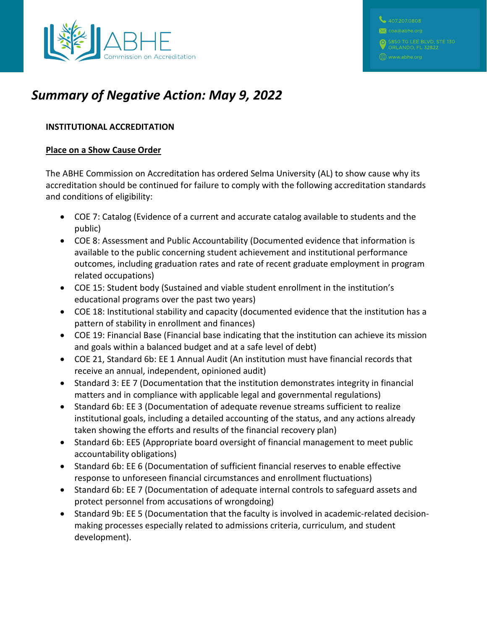

# *Summary of Negative Action: May 9, 2022*

# **INSTITUTIONAL ACCREDITATION**

### **Place on a Show Cause Order**

The ABHE Commission on Accreditation has ordered Selma University (AL) to show cause why its accreditation should be continued for failure to comply with the following accreditation standards and conditions of eligibility:

- COE 7: Catalog (Evidence of a current and accurate catalog available to students and the public)
- COE 8: Assessment and Public Accountability (Documented evidence that information is available to the public concerning student achievement and institutional performance outcomes, including graduation rates and rate of recent graduate employment in program related occupations)
- COE 15: Student body (Sustained and viable student enrollment in the institution's educational programs over the past two years)
- COE 18: Institutional stability and capacity (documented evidence that the institution has a pattern of stability in enrollment and finances)
- COE 19: Financial Base (Financial base indicating that the institution can achieve its mission and goals within a balanced budget and at a safe level of debt)
- COE 21, Standard 6b: EE 1 Annual Audit (An institution must have financial records that receive an annual, independent, opinioned audit)
- Standard 3: EE 7 (Documentation that the institution demonstrates integrity in financial matters and in compliance with applicable legal and governmental regulations)
- Standard 6b: EE 3 (Documentation of adequate revenue streams sufficient to realize institutional goals, including a detailed accounting of the status, and any actions already taken showing the efforts and results of the financial recovery plan)
- Standard 6b: EE5 (Appropriate board oversight of financial management to meet public accountability obligations)
- Standard 6b: EE 6 (Documentation of sufficient financial reserves to enable effective response to unforeseen financial circumstances and enrollment fluctuations)
- Standard 6b: EE 7 (Documentation of adequate internal controls to safeguard assets and protect personnel from accusations of wrongdoing)
- Standard 9b: EE 5 (Documentation that the faculty is involved in academic-related decisionmaking processes especially related to admissions criteria, curriculum, and student development).